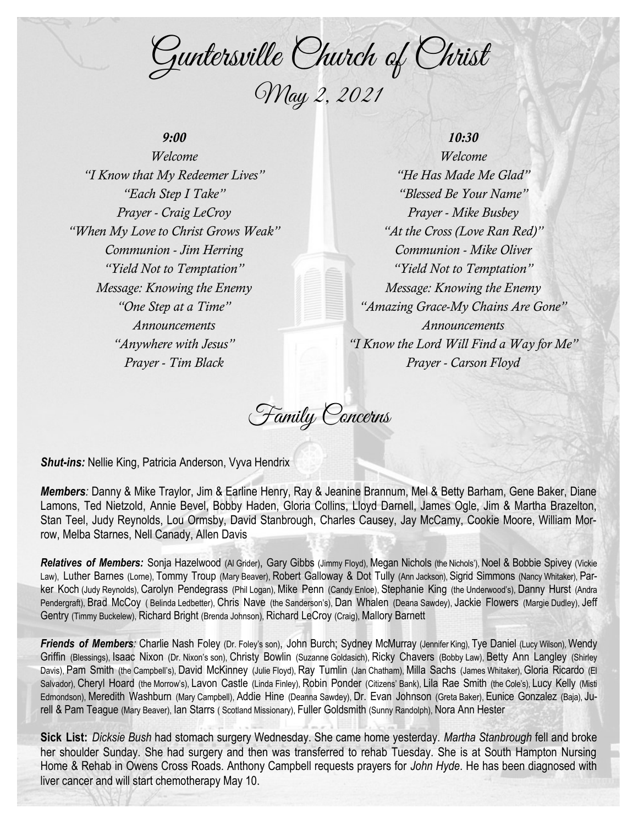Guntersville Church of Christ May 2, 2021

## *9:00*

*Welcome "I Know that My Redeemer Lives" "Each Step I Take" Prayer - Craig LeCroy "When My Love to Christ Grows Weak" Communion - Jim Herring "Yield Not to Temptation" Message: Knowing the Enemy "One Step at a Time" Announcements "Anywhere with Jesus" Prayer - Tim Black*

# *10:30*

*Welcome "He Has Made Me Glad" "Blessed Be Your Name" Prayer - Mike Busbey "At the Cross (Love Ran Red)" Communion - Mike Oliver "Yield Not to Temptation" Message: Knowing the Enemy "Amazing Grace-My Chains Are Gone" Announcements "I Know the Lord Will Find a Way for Me" Prayer - Carson Floyd*

Family Concerns

*Shut-ins:* Nellie King, Patricia Anderson, Vyva Hendrix

*Members:* Danny & Mike Traylor, Jim & Earline Henry, Ray & Jeanine Brannum, Mel & Betty Barham, Gene Baker, Diane Lamons, Ted Nietzold, Annie Bevel, Bobby Haden, Gloria Collins, Lloyd Darnell, James Ogle, Jim & Martha Brazelton, Stan Teel, Judy Reynolds, Lou Ormsby, David Stanbrough, Charles Causey, Jay McCamy, Cookie Moore, William Morrow, Melba Starnes, Nell Canady, Allen Davis

*Relatives of Members:* Sonja Hazelwood (Al Grider), Gary Gibbs (Jimmy Floyd), Megan Nichols (the Nichols'), Noel & Bobbie Spivey (Vickie Law), Luther Barnes (Lorne), Tommy Troup (Mary Beaver), Robert Galloway & Dot Tully (Ann Jackson), Sigrid Simmons (Nancy Whitaker), Parker Koch (Judy Reynolds), Carolyn Pendegrass (Phil Logan), Mike Penn (Candy Enloe), Stephanie King (the Underwood's), Danny Hurst (Andra Pendergraft), Brad McCoy ( Belinda Ledbetter), Chris Nave (the Sanderson's), Dan Whalen (Deana Sawdey), Jackie Flowers (Margie Dudley), Jeff Gentry (Timmy Buckelew), Richard Bright (Brenda Johnson), Richard LeCroy (Craig), Mallory Barnett

Friends of Members: Charlie Nash Foley (Dr. Foley's son), John Burch; Sydney McMurray (Jennifer King), Tye Daniel (Lucy Wilson), Wendy Griffin (Blessings), Isaac Nixon (Dr. Nixon's son), Christy Bowlin (Suzanne Goldasich), Ricky Chavers (Bobby Law), Betty Ann Langley (Shirley Davis), Pam Smith (the Campbell's), David McKinney (Julie Floyd), Ray Tumlin (Jan Chatham), Milla Sachs (James Whitaker), Gloria Ricardo (El Salvador), Cheryl Hoard (the Morrow's), Lavon Castle (Linda Finley), Robin Ponder (Citizens' Bank), Lila Rae Smith (the Cole's), Lucy Kelly (Misti Edmondson), Meredith Washburn (Mary Campbell), Addie Hine (Deanna Sawdey), Dr. Evan Johnson (Greta Baker), Eunice Gonzalez (Baja), Jurell & Pam Teague (Mary Beaver), Ian Starrs ( Scotland Missionary), Fuller Goldsmith (Sunny Randolph), Nora Ann Hester

**Sick List:** *Dicksie Bush* had stomach surgery Wednesday. She came home yesterday. *Martha Stanbrough* fell and broke her shoulder Sunday. She had surgery and then was transferred to rehab Tuesday. She is at South Hampton Nursing Home & Rehab in Owens Cross Roads. Anthony Campbell requests prayers for *John Hyde*. He has been diagnosed with liver cancer and will start chemotherapy May 10.